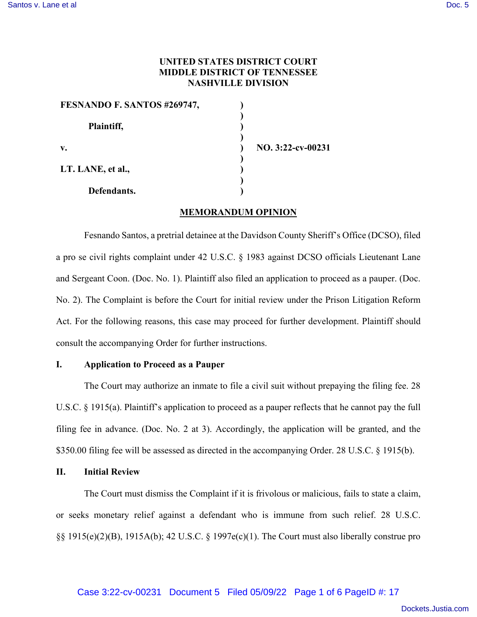# **UNITED STATES DISTRICT COURT MIDDLE DISTRICT OF TENNESSEE NASHVILLE DIVISION**

| FESNANDO F. SANTOS #269747, |                   |
|-----------------------------|-------------------|
| Plaintiff,                  |                   |
| v.                          | NO. 3:22-cv-00231 |
| LT. LANE, et al.,           |                   |
| Defendants.                 |                   |

## **MEMORANDUM OPINION**

Fesnando Santos, a pretrial detainee at the Davidson County Sheriff's Office (DCSO), filed a pro se civil rights complaint under 42 U.S.C. § 1983 against DCSO officials Lieutenant Lane and Sergeant Coon. (Doc. No. 1). Plaintiff also filed an application to proceed as a pauper. (Doc. No. 2). The Complaint is before the Court for initial review under the Prison Litigation Reform Act. For the following reasons, this case may proceed for further development. Plaintiff should consult the accompanying Order for further instructions.

### **I. Application to Proceed as a Pauper**

The Court may authorize an inmate to file a civil suit without prepaying the filing fee. 28 U.S.C. § 1915(a). Plaintiff's application to proceed as a pauper reflects that he cannot pay the full filing fee in advance. (Doc. No. 2 at 3). Accordingly, the application will be granted, and the \$350.00 filing fee will be assessed as directed in the accompanying Order. 28 U.S.C. § 1915(b).

## **II. Initial Review**

The Court must dismiss the Complaint if it is frivolous or malicious, fails to state a claim, or seeks monetary relief against a defendant who is immune from such relief. 28 U.S.C. §§ 1915(e)(2)(B), 1915A(b); 42 U.S.C. § 1997e(c)(1). The Court must also liberally construe pro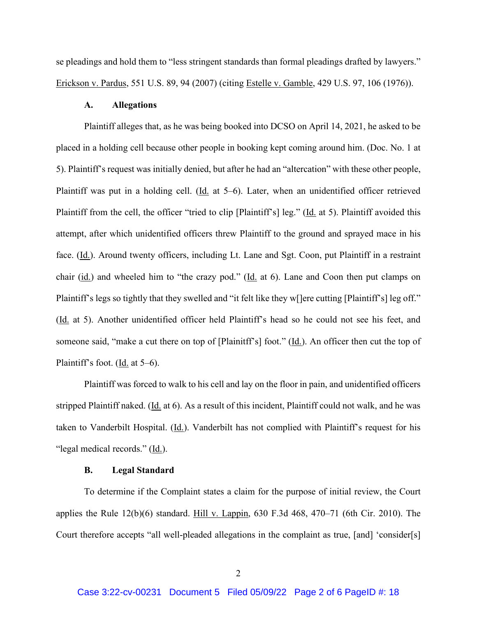se pleadings and hold them to "less stringent standards than formal pleadings drafted by lawyers." Erickson v. Pardus, 551 U.S. 89, 94 (2007) (citing Estelle v. Gamble, 429 U.S. 97, 106 (1976)).

## **A. Allegations**

Plaintiff alleges that, as he was being booked into DCSO on April 14, 2021, he asked to be placed in a holding cell because other people in booking kept coming around him. (Doc. No. 1 at 5). Plaintiff's request was initially denied, but after he had an "altercation" with these other people, Plaintiff was put in a holding cell. (Id. at 5–6). Later, when an unidentified officer retrieved Plaintiff from the cell, the officer "tried to clip [Plaintiff's] leg." (Id. at 5). Plaintiff avoided this attempt, after which unidentified officers threw Plaintiff to the ground and sprayed mace in his face. (Id.). Around twenty officers, including Lt. Lane and Sgt. Coon, put Plaintiff in a restraint chair (id.) and wheeled him to "the crazy pod." (Id. at 6). Lane and Coon then put clamps on Plaintiff's legs so tightly that they swelled and "it felt like they w[]ere cutting [Plaintiff's] leg off." (Id. at 5). Another unidentified officer held Plaintiff's head so he could not see his feet, and someone said, "make a cut there on top of [Plainitff's] foot." (Id.). An officer then cut the top of Plaintiff's foot. (Id. at  $5-6$ ).

Plaintiff was forced to walk to his cell and lay on the floor in pain, and unidentified officers stripped Plaintiff naked. (Id. at 6). As a result of this incident, Plaintiff could not walk, and he was taken to Vanderbilt Hospital. (Id.). Vanderbilt has not complied with Plaintiff's request for his "legal medical records." (Id.).

#### **B. Legal Standard**

To determine if the Complaint states a claim for the purpose of initial review, the Court applies the Rule  $12(b)(6)$  standard. Hill v. Lappin, 630 F.3d 468, 470–71 (6th Cir. 2010). The Court therefore accepts "all well-pleaded allegations in the complaint as true, [and] 'consider[s]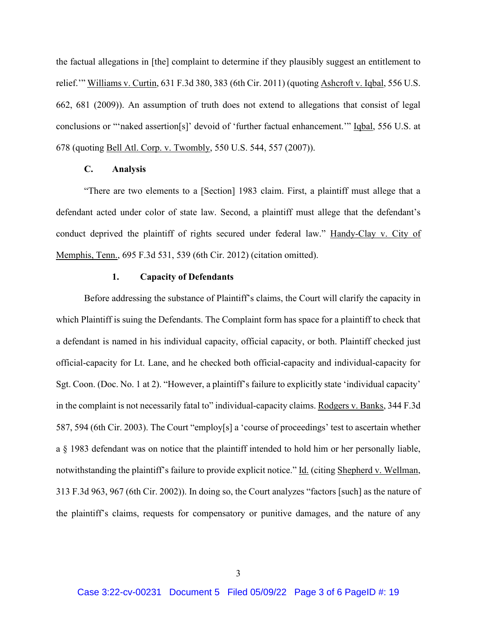the factual allegations in [the] complaint to determine if they plausibly suggest an entitlement to relief.'" Williams v. Curtin, 631 F.3d 380, 383 (6th Cir. 2011) (quoting Ashcroft v. Iqbal, 556 U.S. 662, 681 (2009)). An assumption of truth does not extend to allegations that consist of legal conclusions or "'naked assertion[s]' devoid of 'further factual enhancement.'" Iqbal, 556 U.S. at 678 (quoting Bell Atl. Corp. v. Twombly, 550 U.S. 544, 557 (2007)).

## **C. Analysis**

 "There are two elements to a [Section] 1983 claim. First, a plaintiff must allege that a defendant acted under color of state law. Second, a plaintiff must allege that the defendant's conduct deprived the plaintiff of rights secured under federal law." Handy-Clay v. City of Memphis, Tenn., 695 F.3d 531, 539 (6th Cir. 2012) (citation omitted).

#### **1. Capacity of Defendants**

Before addressing the substance of Plaintiff's claims, the Court will clarify the capacity in which Plaintiff is suing the Defendants. The Complaint form has space for a plaintiff to check that a defendant is named in his individual capacity, official capacity, or both. Plaintiff checked just official-capacity for Lt. Lane, and he checked both official-capacity and individual-capacity for Sgt. Coon. (Doc. No. 1 at 2). "However, a plaintiff's failure to explicitly state 'individual capacity' in the complaint is not necessarily fatal to" individual-capacity claims. Rodgers v. Banks, 344 F.3d 587, 594 (6th Cir. 2003). The Court "employ[s] a 'course of proceedings' test to ascertain whether a § 1983 defendant was on notice that the plaintiff intended to hold him or her personally liable, notwithstanding the plaintiff's failure to provide explicit notice." Id. (citing Shepherd v. Wellman, 313 F.3d 963, 967 (6th Cir. 2002)). In doing so, the Court analyzes "factors [such] as the nature of the plaintiff's claims, requests for compensatory or punitive damages, and the nature of any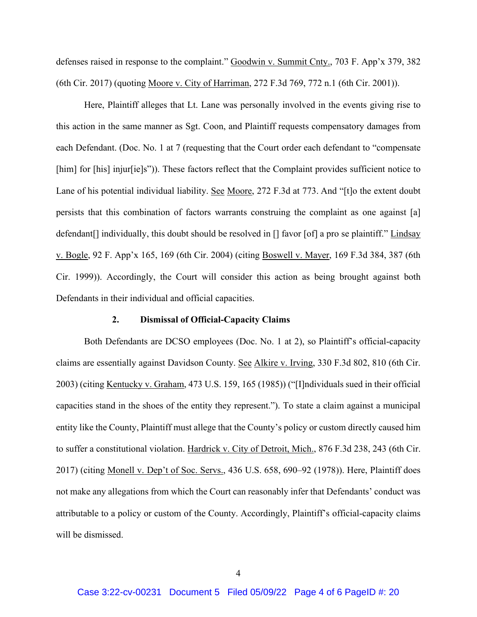defenses raised in response to the complaint." Goodwin v. Summit Cnty., 703 F. App'x 379, 382 (6th Cir. 2017) (quoting Moore v. City of Harriman, 272 F.3d 769, 772 n.1 (6th Cir. 2001)).

Here, Plaintiff alleges that Lt. Lane was personally involved in the events giving rise to this action in the same manner as Sgt. Coon, and Plaintiff requests compensatory damages from each Defendant. (Doc. No. 1 at 7 (requesting that the Court order each defendant to "compensate [him] for [his] injur[ie]s")). These factors reflect that the Complaint provides sufficient notice to Lane of his potential individual liability. See Moore, 272 F.3d at 773. And "[t]o the extent doubt persists that this combination of factors warrants construing the complaint as one against [a] defendant[] individually, this doubt should be resolved in [] favor [of] a pro se plaintiff." Lindsay v. Bogle, 92 F. App'x 165, 169 (6th Cir. 2004) (citing Boswell v. Mayer, 169 F.3d 384, 387 (6th Cir. 1999)). Accordingly, the Court will consider this action as being brought against both Defendants in their individual and official capacities.

## **2. Dismissal of Official-Capacity Claims**

 Both Defendants are DCSO employees (Doc. No. 1 at 2), so Plaintiff's official-capacity claims are essentially against Davidson County. See Alkire v. Irving, 330 F.3d 802, 810 (6th Cir. 2003) (citing Kentucky v. Graham, 473 U.S. 159, 165 (1985)) ("[I]ndividuals sued in their official capacities stand in the shoes of the entity they represent."). To state a claim against a municipal entity like the County, Plaintiff must allege that the County's policy or custom directly caused him to suffer a constitutional violation. Hardrick v. City of Detroit, Mich., 876 F.3d 238, 243 (6th Cir. 2017) (citing Monell v. Dep't of Soc. Servs., 436 U.S. 658, 690–92 (1978)). Here, Plaintiff does not make any allegations from which the Court can reasonably infer that Defendants' conduct was attributable to a policy or custom of the County. Accordingly, Plaintiff's official-capacity claims will be dismissed.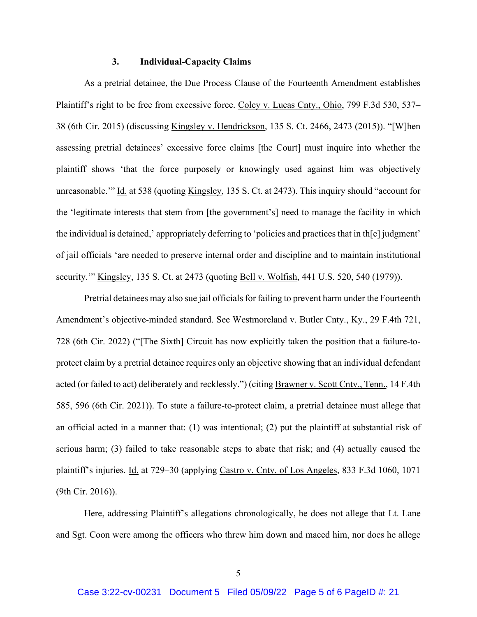#### **3. Individual-Capacity Claims**

As a pretrial detainee, the Due Process Clause of the Fourteenth Amendment establishes Plaintiff's right to be free from excessive force. Coley v. Lucas Cnty., Ohio, 799 F.3d 530, 537– 38 (6th Cir. 2015) (discussing Kingsley v. Hendrickson, 135 S. Ct. 2466, 2473 (2015)). "[W]hen assessing pretrial detainees' excessive force claims [the Court] must inquire into whether the plaintiff shows 'that the force purposely or knowingly used against him was objectively unreasonable.'" Id. at 538 (quoting Kingsley, 135 S. Ct. at 2473). This inquiry should "account for the 'legitimate interests that stem from [the government's] need to manage the facility in which the individual is detained,' appropriately deferring to 'policies and practices that in th[e] judgment' of jail officials 'are needed to preserve internal order and discipline and to maintain institutional security.'" Kingsley, 135 S. Ct. at 2473 (quoting Bell v. Wolfish, 441 U.S. 520, 540 (1979)).

Pretrial detainees may also sue jail officials for failing to prevent harm under the Fourteenth Amendment's objective-minded standard. See Westmoreland v. Butler Cnty., Ky., 29 F.4th 721, 728 (6th Cir. 2022) ("[The Sixth] Circuit has now explicitly taken the position that a failure-toprotect claim by a pretrial detainee requires only an objective showing that an individual defendant acted (or failed to act) deliberately and recklessly.") (citing Brawner v. Scott Cnty., Tenn., 14 F.4th 585, 596 (6th Cir. 2021)). To state a failure-to-protect claim, a pretrial detainee must allege that an official acted in a manner that: (1) was intentional; (2) put the plaintiff at substantial risk of serious harm; (3) failed to take reasonable steps to abate that risk; and (4) actually caused the plaintiff's injuries. Id. at 729–30 (applying Castro v. Cnty. of Los Angeles, 833 F.3d 1060, 1071 (9th Cir. 2016)).

Here, addressing Plaintiff's allegations chronologically, he does not allege that Lt. Lane and Sgt. Coon were among the officers who threw him down and maced him, nor does he allege